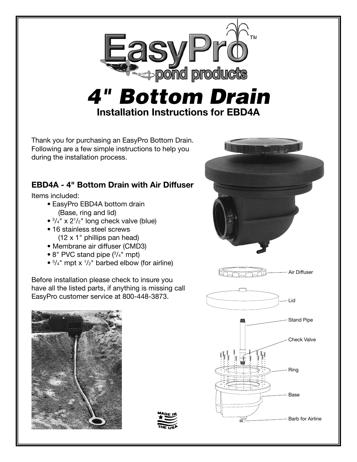

## *4" Bottom Drain* **Installation Instructions for EBD4A**

Thank you for purchasing an EasyPro Bottom Drain. Following are a few simple instructions to help you during the installation process.

## **EBD4A - 4" Bottom Drain with Air Diffuser**

Items included:

- EasyPro EBD4A bottom drain (Base, ring and lid)
- $\bullet$   $3/4"$  x  $2^{1}/2"$  long check valve (blue)
- 16 stainless steel screws (12 x 1" phillips pan head)
- Membrane air diffuser (CMD3)
- 8" PVC stand pipe (<sup>3</sup> /4" mpt)
- $\bullet$   $3/_{4}$ " mpt x  $1/_{2}$ " barbed elbow (for airline)

Before installation please check to insure you have all the listed parts, if anything is missing call EasyPro customer service at 800-448-3873.